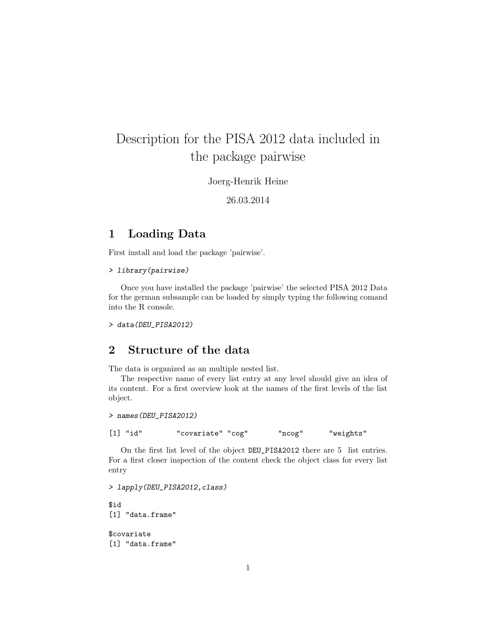# Description for the PISA 2012 data included in the package pairwise

Joerg-Henrik Heine

26.03.2014

## 1 Loading Data

First install and load the package 'pairwise'.

> library(pairwise)

Once you have installed the package 'pairwise' the selected PISA 2012 Data for the german subsample can be loaded by simply typing the following comand into the R console.

> data(DEU\_PISA2012)

## 2 Structure of the data

The data is organized as an multiple nested list.

The respective name of every list entry at any level should give an idea of its content. For a first overview look at the names of the first levels of the list object.

> names(DEU\_PISA2012)

[1] "id" "covariate" "cog" "ncog" "weights"

On the first list level of the object DEU\_PISA2012 there are 5 list entries. For a first closer inspection of the content check the object class for every list entry

> lapply(DEU\_PISA2012,class)

\$id [1] "data.frame" \$covariate

[1] "data.frame"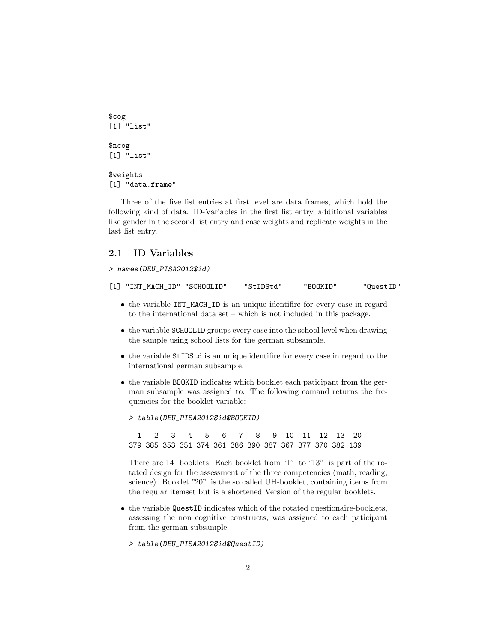```
$cog
[1] "list"
$ncog
[1] "list"
$weights
[1] "data.frame"
```
Three of the five list entries at first level are data frames, which hold the following kind of data. ID-Variables in the first list entry, additional variables like gender in the second list entry and case weights and replicate weights in the last list entry.

## 2.1 ID Variables

> names(DEU\_PISA2012\$id)

[1] "INT\_MACH\_ID" "SCHOOLID" "StIDStd" "BOOKID" "QuestID"

- the variable INT\_MACH\_ID is an unique identifire for every case in regard to the international data set – which is not included in this package.
- the variable SCHOOLID groups every case into the school level when drawing the sample using school lists for the german subsample.
- the variable StIDStd is an unique identifire for every case in regard to the international german subsample.
- the variable BOOKID indicates which booklet each paticipant from the german subsample was assigned to. The following comand returns the frequencies for the booklet variable:

> table(DEU\_PISA2012\$id\$BOOKID)

1 2 3 4 5 6 7 8 9 10 11 12 13 20 379 385 353 351 374 361 386 390 387 367 377 370 382 139

There are 14 booklets. Each booklet from "1" to "13" is part of the rotated design for the assessment of the three competencies (math, reading, science). Booklet "20" is the so called UH-booklet, containing items from the regular itemset but is a shortened Version of the regular booklets.

- the variable QuestID indicates which of the rotated questionaire-booklets, assessing the non cognitive constructs, was assigned to each paticipant from the german subsample.
	- > table(DEU\_PISA2012\$id\$QuestID)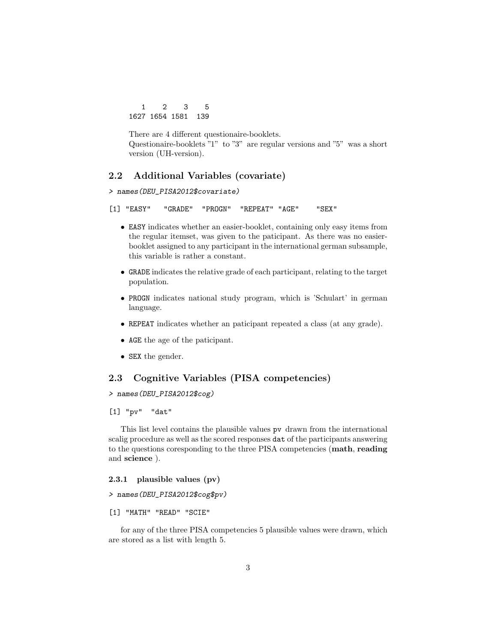1 2 3 5 1627 1654 1581 139

There are 4 different questionaire-booklets. Questionaire-booklets "1" to "3" are regular versions and "5" was a short version (UH-version).

## 2.2 Additional Variables (covariate)

> names(DEU\_PISA2012\$covariate)

```
[1] "EASY" "GRADE" "PROGN" "REPEAT" "AGE" "SEX"
```
- EASY indicates whether an easier-booklet, containing only easy items from the regular itemset, was given to the paticipant. As there was no easierbooklet assigned to any participant in the international german subsample, this variable is rather a constant.
- GRADE indicates the relative grade of each participant, relating to the target population.
- PROGN indicates national study program, which is 'Schulart' in german language.
- REPEAT indicates whether an paticipant repeated a class (at any grade).
- AGE the age of the paticipant.
- SEX the gender.

## 2.3 Cognitive Variables (PISA competencies)

> names(DEU\_PISA2012\$cog)

## [1] "pv" "dat"

This list level contains the plausible values pv drawn from the international scalig procedure as well as the scored responses dat of the participants answering to the questions coresponding to the three PISA competencies (math, reading and science ).

## 2.3.1 plausible values (pv)

- > names(DEU\_PISA2012\$cog\$pv)
- [1] "MATH" "READ" "SCIE"

for any of the three PISA competencies 5 plausible values were drawn, which are stored as a list with length 5.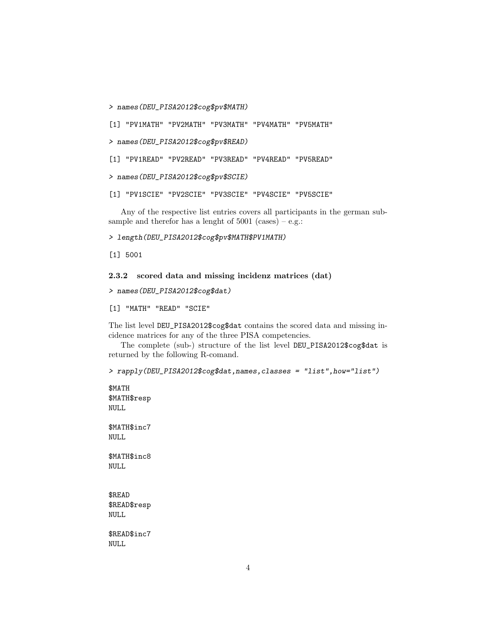> names(DEU\_PISA2012\$cog\$pv\$MATH)

[1] "PV1MATH" "PV2MATH" "PV3MATH" "PV4MATH" "PV5MATH"

> names(DEU\_PISA2012\$cog\$pv\$READ)

[1] "PV1READ" "PV2READ" "PV3READ" "PV4READ" "PV5READ"

> names(DEU\_PISA2012\$cog\$pv\$SCIE)

[1] "PV1SCIE" "PV2SCIE" "PV3SCIE" "PV4SCIE" "PV5SCIE"

Any of the respective list entries covers all participants in the german subsample and therefor has a lenght of  $5001$  (cases) – e.g.:

> length(DEU\_PISA2012\$cog\$pv\$MATH\$PV1MATH)

[1] 5001

2.3.2 scored data and missing incidenz matrices (dat)

> names(DEU\_PISA2012\$cog\$dat)

[1] "MATH" "READ" "SCIE"

The list level DEU\_PISA2012\$cog\$dat contains the scored data and missing incidence matrices for any of the three PISA competencies.

The complete (sub-) structure of the list level DEU\_PISA2012\$cog\$dat is returned by the following R-comand.

> rapply(DEU\_PISA2012\$cog\$dat,names,classes = "list",how="list")

\$MATH \$MATH\$resp NULL \$MATH\$inc7 NULL \$MATH\$inc8 NULL \$READ \$READ\$resp NULL \$READ\$inc7 NULL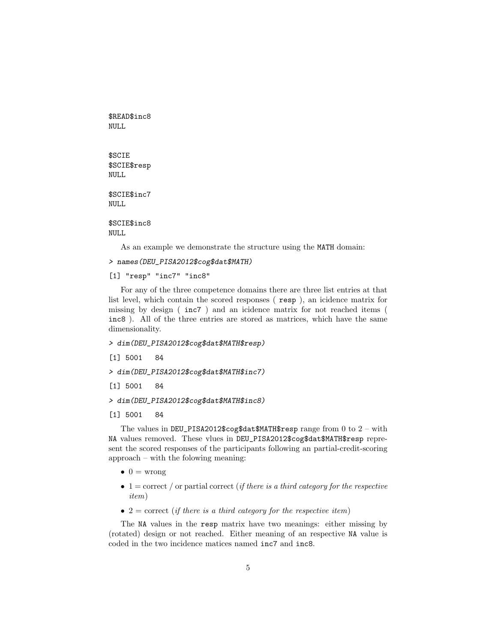\$READ\$inc8 NULL \$SCIE \$SCIE\$resp NULL \$SCIE\$inc7 NULL \$SCIE\$inc8 NULL

As an example we demonstrate the structure using the MATH domain:

> names(DEU\_PISA2012\$cog\$dat\$MATH)

[1] "resp" "inc7" "inc8"

For any of the three competence domains there are three list entries at that list level, which contain the scored responses ( resp ), an icidence matrix for missing by design ( inc7 ) and an icidence matrix for not reached items ( inc8 ). All of the three entries are stored as matrices, which have the same dimensionality.

## > dim(DEU\_PISA2012\$cog\$dat\$MATH\$resp)

[1] 5001 84

> dim(DEU\_PISA2012\$cog\$dat\$MATH\$inc7)

[1] 5001 84

> dim(DEU\_PISA2012\$cog\$dat\$MATH\$inc8)

## [1] 5001 84

The values in DEU\_PISA2012\$cog\$dat\$MATH\$resp range from 0 to  $2$  – with NA values removed. These vlues in DEU\_PISA2012\$cog\$dat\$MATH\$resp represent the scored responses of the participants following an partial-credit-scoring approach – with the folowing meaning:

- $\bullet$  0 = wrong
- $\bullet$  1 = correct / or partial correct (*if there is a third category for the respective* item)
- $2 =$  correct (if there is a third category for the respective item)

The NA values in the resp matrix have two meanings: either missing by (rotated) design or not reached. Either meaning of an respective NA value is coded in the two incidence matices named inc7 and inc8.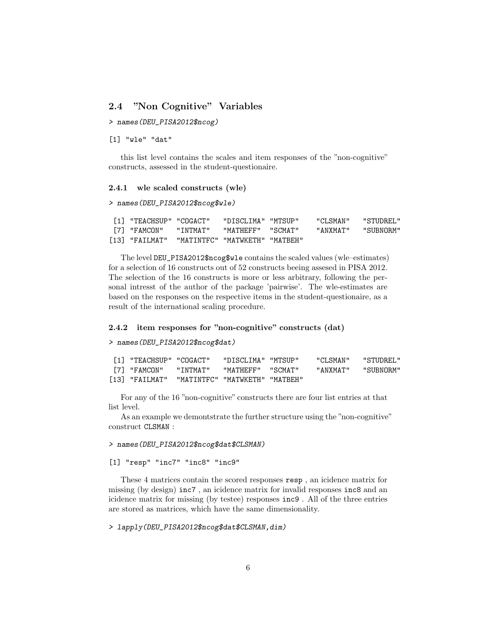## 2.4 "Non Cognitive" Variables

> names(DEU\_PISA2012\$ncog)

[1] "wle" "dat"

this list level contains the scales and item responses of the "non-cognitive" constructs, assessed in the student-questionaire.

### 2.4.1 wle scaled constructs (wle)

```
> names(DEU_PISA2012$ncog$wle)
```

| [1] "TEACHSUP" "COGACT" |          | "DISCLIMA" "MTSUP"             | "CLSMAN" | "STUDREL." |
|-------------------------|----------|--------------------------------|----------|------------|
| "FAMCON" וF7            | "INTMAT" | "MATHEFF" "SCMAT"              | "ANXMAT" | "SUBNORM"  |
| [13] "FAILMAT"          |          | "MATINTFC" "MATWKETH" "MATBEH" |          |            |

The level DEU\_PISA2012\$ncog\$wle contains the scaled values (wle–estimates) for a selection of 16 constructs out of 52 constructs beeing assesed in PISA 2012. The selection of the 16 constructs is more or less arbitrary, following the personal intresst of the author of the package 'pairwise'. The wle-estimates are based on the responses on the respective items in the student-questionaire, as a result of the international scaling procedure.

### 2.4.2 item responses for "non-cognitive" constructs (dat)

> names(DEU\_PISA2012\$ncog\$dat)

| [1] "TEACHSUP" "COGACT" |           | "DISCLIMA" "MTSUP"             | "CLSMAN" | "STUDREL." |
|-------------------------|-----------|--------------------------------|----------|------------|
| [7] "FAMCON"            | " TNTMAT" | "MATHEFF" "SCMAT"              | "ANXMAT" | "SUBNORM"  |
| [13] "FAILMAT"          |           | "MATINTFC" "MATWKETH" "MATBEH" |          |            |

For any of the 16 "non-cognitive" constructs there are four list entries at that list level.

As an example we demontstrate the further structure using the "non-cognitive" construct CLSMAN :

### > names(DEU\_PISA2012\$ncog\$dat\$CLSMAN)

## [1] "resp" "inc7" "inc8" "inc9"

These 4 matrices contain the scored responses resp , an icidence matrix for missing (by design) inc7 , an icidence matrix for invalid responses inc8 and an icidence matrix for missing (by testee) responses inc9 . All of the three entries are stored as matrices, which have the same dimensionality.

### > lapply(DEU\_PISA2012\$ncog\$dat\$CLSMAN,dim)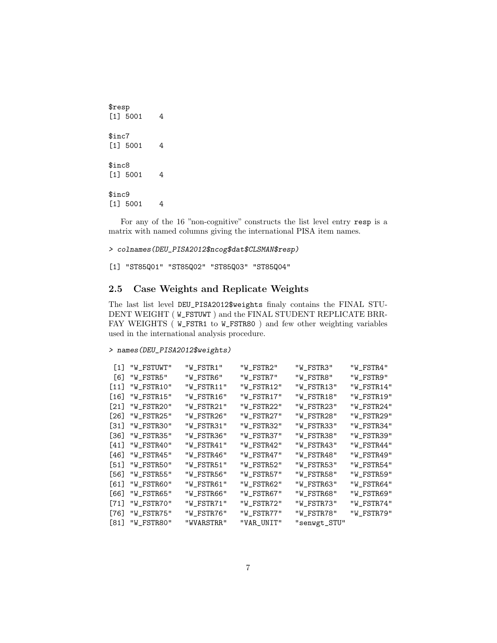\$resp [1] 5001 4 \$inc7 [1] 5001 4 \$inc8 [1] 5001 4 \$inc9 [1] 5001 4

For any of the 16 "non-cognitive" constructs the list level entry resp is a matrix with named columns giving the international PISA item names.

> colnames(DEU\_PISA2012\$ncog\$dat\$CLSMAN\$resp)

[1] "ST85Q01" "ST85Q02" "ST85Q03" "ST85Q04"

## 2.5 Case Weights and Replicate Weights

The last list level DEU\_PISA2012\$weights finaly contains the FINAL STU-DENT WEIGHT (W\_FSTUWT) and the FINAL STUDENT REPLICATE BRR-FAY WEIGHTS ( W\_FSTR1 to W\_FSTR80 ) and few other weighting variables used in the international analysis procedure.

## > names(DEU\_PISA2012\$weights)

| [1]  | "W_FSTUWT" | "W_FSTR1"  | "W_FSTR2"  | "W_FSTR3"    | "W_FSTR4"  |
|------|------------|------------|------------|--------------|------------|
| 161  | "W_FSTR5"  | "W_FSTR6"  | "W_FSTR7"  | "W_FSTR8"    | "W_FSTR9"  |
| [11] | "W FSTR10" | "W_FSTR11" | "W_FSTR12" | "W_FSTR13"   | "W_FSTR14" |
| [16] | "W FSTR15" | "W_FSTR16" | "W FSTR17" | "W FSTR18"   | "W FSTR19" |
| 1211 | "W_FSTR20" | "W_FSTR21" | "W_FSTR22" | "W_FSTR23"   | "W_FSTR24" |
| [26] | "W_FSTR25" | "W_FSTR26" | "W_FSTR27" | "W_FSTR28"   | "W_FSTR29" |
| [31] | "W_FSTR30" | "W_FSTR31" | "W_FSTR32" | "W_FSTR33"   | "W_FSTR34" |
| [36] | "W FSTR35" | "W_FSTR36" | "W FSTR37" | "W_FSTR38"   | "W_FSTR39" |
| 1411 | "W_FSTR40" | "W_FSTR41" | "W_FSTR42" | "W_FSTR43"   | "W_FSTR44" |
| [46] | "W_FSTR45" | "W_FSTR46" | "W_FSTR47" | "W_FSTR48"   | "W_FSTR49" |
| [51] | "W_FSTR50" | "W_FSTR51" | "W_FSTR52" | "W_FSTR53"   | "W_FSTR54" |
| [56] | "W FSTR55" | "W_FSTR56" | "W FSTR57" | "W FSTR58"   | "W_FSTR59" |
| [61] | "W FSTR60" | "W_FSTR61" | "W_FSTR62" | "W_FSTR63"   | "W_FSTR64" |
| [66] | "W_FSTR65" | "W_FSTR66" | "W_FSTR67" | "W_FSTR68"   | "W_FSTR69" |
| [71] | "W_FSTR70" | "W_FSTR71" | "W_FSTR72" | "W_FSTR73"   | "W_FSTR74" |
| [76] | "W_FSTR75" | "W_FSTR76" | "W_FSTR77" | "W_FSTR78"   | "W_FSTR79" |
| [81] | "W FSTR80" | "WVARSTRR" | "VAR UNIT" | "senwgt_STU" |            |